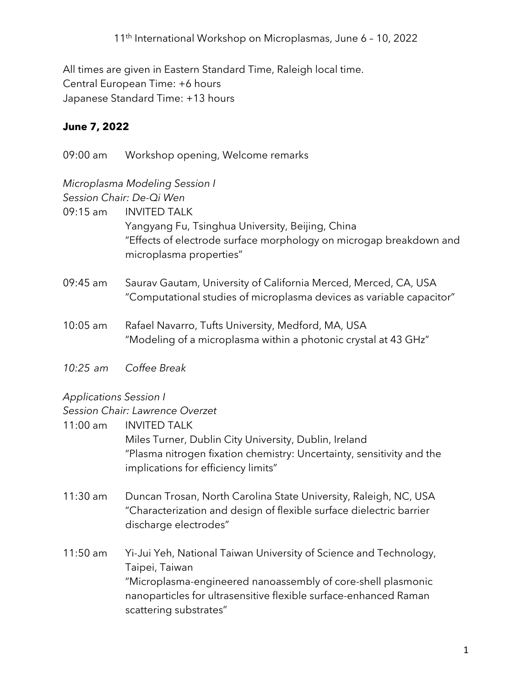All times are given in Eastern Standard Time, Raleigh local time. Central European Time: +6 hours Japanese Standard Time: +13 hours

## **June 7, 2022**

09:00 am Workshop opening, Welcome remarks

# *Microplasma Modeling Session I*

*Session Chair: De-Qi Wen*

- 09:15 am INVITED TALK Yangyang Fu, Tsinghua University, Beijing, China "Effects of electrode surface morphology on microgap breakdown and microplasma properties"
- 09:45 am Saurav Gautam, University of California Merced, Merced, CA, USA "Computational studies of microplasma devices as variable capacitor"
- 10:05 am Rafael Navarro, Tufts University, Medford, MA, USA "Modeling of a microplasma within a photonic crystal at 43 GHz"
- *10:25 am Coffee Break*

#### *Applications Session I*

#### *Session Chair: Lawrence Overzet*

- 11:00 am INVITED TALK Miles Turner, Dublin City University, Dublin, Ireland "Plasma nitrogen fixation chemistry: Uncertainty, sensitivity and the implications for efficiency limits"
- 11:30 am Duncan Trosan, North Carolina State University, Raleigh, NC, USA "Characterization and design of flexible surface dielectric barrier discharge electrodes"
- 11:50 am Yi-Jui Yeh, National Taiwan University of Science and Technology, Taipei, Taiwan "Microplasma-engineered nanoassembly of core-shell plasmonic nanoparticles for ultrasensitive flexible surface-enhanced Raman scattering substrates"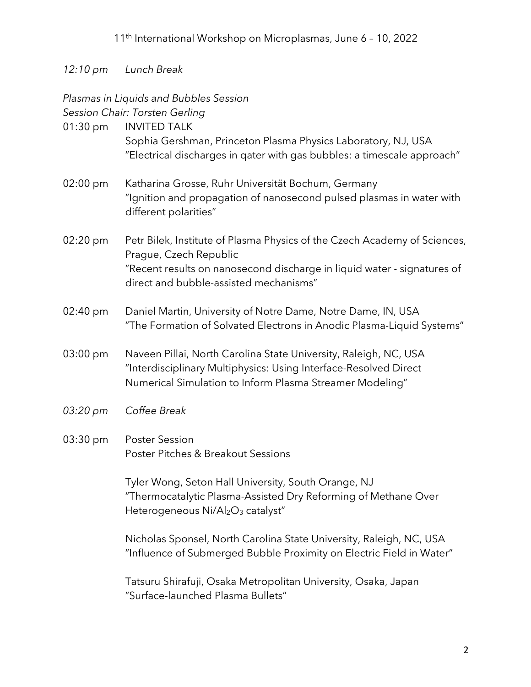### *12:10 pm Lunch Break*

# *Plasmas in Liquids and Bubbles Session*

*Session Chair: Torsten Gerling*

| $01:30 \text{ pm}$ | <b>INVITED TALK</b><br>Sophia Gershman, Princeton Plasma Physics Laboratory, NJ, USA<br>"Electrical discharges in gater with gas bubbles: a timescale approach"                                                          |
|--------------------|--------------------------------------------------------------------------------------------------------------------------------------------------------------------------------------------------------------------------|
| $02:00 \text{ pm}$ | Katharina Grosse, Ruhr Universität Bochum, Germany<br>"Ignition and propagation of nanosecond pulsed plasmas in water with<br>different polarities"                                                                      |
| $02:20 \text{ pm}$ | Petr Bilek, Institute of Plasma Physics of the Czech Academy of Sciences,<br>Prague, Czech Republic<br>"Recent results on nanosecond discharge in liquid water - signatures of<br>direct and bubble-assisted mechanisms" |
| $02:40 \text{ pm}$ | Daniel Martin, University of Notre Dame, Notre Dame, IN, USA<br>"The Formation of Solvated Electrons in Anodic Plasma-Liquid Systems"                                                                                    |
| $03:00 \text{ pm}$ | Naveen Pillai, North Carolina State University, Raleigh, NC, USA<br>"Interdisciplinary Multiphysics: Using Interface-Resolved Direct                                                                                     |

- Numerical Simulation to Inform Plasma Streamer Modeling"
- *03:20 pm Coffee Break*
- 03:30 pm Poster Session Poster Pitches & Breakout Sessions

Tyler Wong, Seton Hall University, South Orange, NJ "Thermocatalytic Plasma-Assisted Dry Reforming of Methane Over Heterogeneous Ni/Al<sub>2</sub>O<sub>3</sub> catalyst"

Nicholas Sponsel, North Carolina State University, Raleigh, NC, USA "Influence of Submerged Bubble Proximity on Electric Field in Water"

Tatsuru Shirafuji, Osaka Metropolitan University, Osaka, Japan "Surface-launched Plasma Bullets"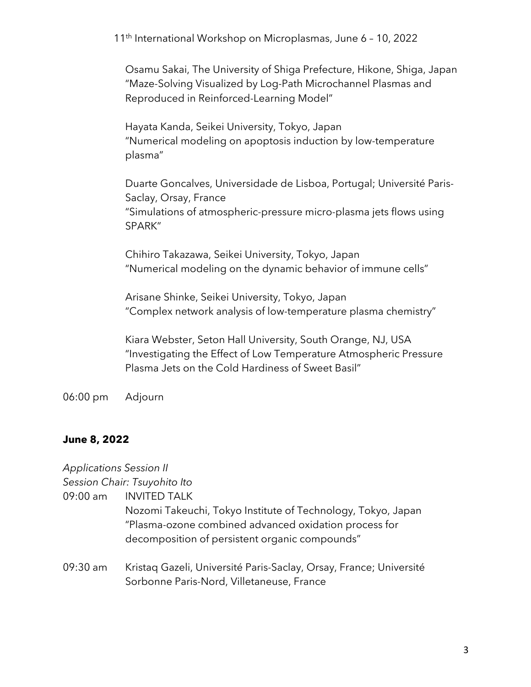Osamu Sakai, The University of Shiga Prefecture, Hikone, Shiga, Japan "Maze-Solving Visualized by Log-Path Microchannel Plasmas and Reproduced in Reinforced-Learning Model"

Hayata Kanda, Seikei University, Tokyo, Japan "Numerical modeling on apoptosis induction by low-temperature plasma"

Duarte Goncalves, Universidade de Lisboa, Portugal; Université Paris-Saclay, Orsay, France "Simulations of atmospheric-pressure micro-plasma jets flows using SPARK"

Chihiro Takazawa, Seikei University, Tokyo, Japan "Numerical modeling on the dynamic behavior of immune cells"

Arisane Shinke, Seikei University, Tokyo, Japan "Complex network analysis of low-temperature plasma chemistry"

Kiara Webster, Seton Hall University, South Orange, NJ, USA "Investigating the Effect of Low Temperature Atmospheric Pressure Plasma Jets on the Cold Hardiness of Sweet Basil"

06:00 pm Adjourn

#### **June 8, 2022**

*Applications Session II*

*Session Chair: Tsuyohito Ito*

09:00 am INVITED TALK

Nozomi Takeuchi, Tokyo Institute of Technology, Tokyo, Japan "Plasma-ozone combined advanced oxidation process for decomposition of persistent organic compounds"

09:30 am Kristaq Gazeli, Université Paris-Saclay, Orsay, France; Université Sorbonne Paris-Nord, Villetaneuse, France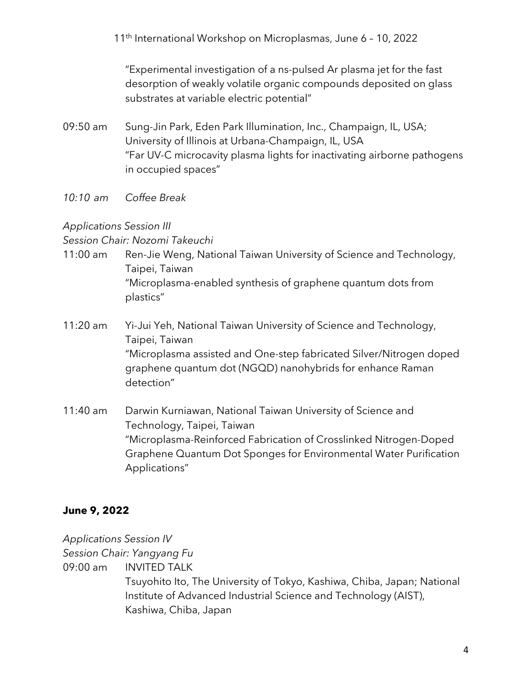"Experimental investigation of a ns-pulsed Ar plasma jet for the fast desorption of weakly volatile organic compounds deposited on glass substrates at variable electric potential"

- 09:50 am Sung-Jin Park, Eden Park Illumination, Inc., Champaign, IL, USA; University of Illinois at Urbana-Champaign, IL, USA "Far UV-C microcavity plasma lights for inactivating airborne pathogens in occupied spaces"
- *10:10 am Coffee Break*

#### *Applications Session III*

*Session Chair: Nozomi Takeuchi*

- 11:00 am Ren-Jie Weng, National Taiwan University of Science and Technology, Taipei, Taiwan "Microplasma-enabled synthesis of graphene quantum dots from plastics"
- 11:20 am Yi-Jui Yeh, National Taiwan University of Science and Technology, Taipei, Taiwan "Microplasma assisted and One-step fabricated Silver/Nitrogen doped graphene quantum dot (NGQD) nanohybrids for enhance Raman detection"
- 11:40 am Darwin Kurniawan, National Taiwan University of Science and Technology, Taipei, Taiwan "Microplasma-Reinforced Fabrication of Crosslinked Nitrogen-Doped Graphene Quantum Dot Sponges for Environmental Water Purification Applications"

## **June 9, 2022**

*Applications Session IV*

*Session Chair: Yangyang Fu*

09:00 am INVITED TALK

Tsuyohito Ito, The University of Tokyo, Kashiwa, Chiba, Japan; National Institute of Advanced Industrial Science and Technology (AIST), Kashiwa, Chiba, Japan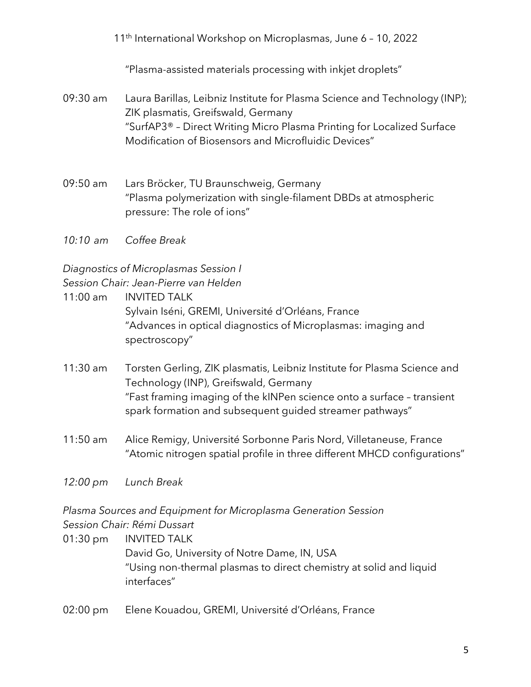"Plasma-assisted materials processing with inkjet droplets"

- 09:30 am Laura Barillas, Leibniz Institute for Plasma Science and Technology (INP); ZIK plasmatis, Greifswald, Germany "SurfAP3® – Direct Writing Micro Plasma Printing for Localized Surface Modification of Biosensors and Microfluidic Devices"
- 09:50 am Lars Bröcker, TU Braunschweig, Germany "Plasma polymerization with single-filament DBDs at atmospheric pressure: The role of ions"
- *10:10 am Coffee Break*

*Diagnostics of Microplasmas Session I*

*Session Chair: Jean-Pierre van Helden*

- 11:00 am INVITED TALK Sylvain Iséni, GREMI, Université d'Orléans, France "Advances in optical diagnostics of Microplasmas: imaging and spectroscopy"
- 11:30 am Torsten Gerling, ZIK plasmatis, Leibniz Institute for Plasma Science and Technology (INP), Greifswald, Germany "Fast framing imaging of the kINPen science onto a surface – transient spark formation and subsequent guided streamer pathways"
- 11:50 am Alice Remigy, Université Sorbonne Paris Nord, Villetaneuse, France "Atomic nitrogen spatial profile in three different MHCD configurations"

*12:00 pm Lunch Break*

*Plasma Sources and Equipment for Microplasma Generation Session Session Chair: Rémi Dussart*

- 01:30 pm INVITED TALK David Go, University of Notre Dame, IN, USA "Using non-thermal plasmas to direct chemistry at solid and liquid interfaces"
- 02:00 pm Elene Kouadou, GREMI, Université d'Orléans, France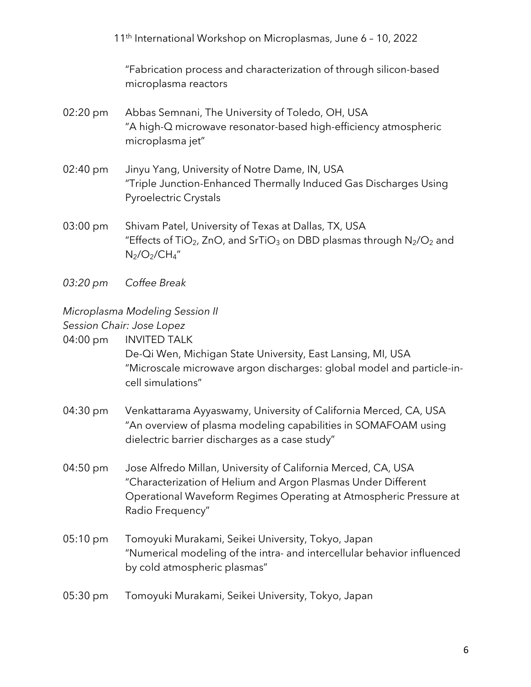"Fabrication process and characterization of through silicon-based microplasma reactors

- 02:20 pm Abbas Semnani, The University of Toledo, OH, USA "A high-Q microwave resonator-based high-efficiency atmospheric microplasma jet"
- 02:40 pm Jinyu Yang, University of Notre Dame, IN, USA "Triple Junction-Enhanced Thermally Induced Gas Discharges Using Pyroelectric Crystals
- 03:00 pm Shivam Patel, University of Texas at Dallas, TX, USA "Effects of TiO<sub>2</sub>, ZnO, and SrTiO<sub>3</sub> on DBD plasmas through  $N_2/O_2$  and  $N_2/O_2/CH_4''$
- *03:20 pm Coffee Break*

#### *Microplasma Modeling Session II*

*Session Chair: Jose Lopez* 

04:00 pm INVITED TALK

De-Qi Wen, Michigan State University, East Lansing, MI, USA "Microscale microwave argon discharges: global model and particle-incell simulations"

- 04:30 pm Venkattarama Ayyaswamy, University of California Merced, CA, USA "An overview of plasma modeling capabilities in SOMAFOAM using dielectric barrier discharges as a case study"
- 04:50 pm Jose Alfredo Millan, University of California Merced, CA, USA "Characterization of Helium and Argon Plasmas Under Different Operational Waveform Regimes Operating at Atmospheric Pressure at Radio Frequency"
- 05:10 pm Tomoyuki Murakami, Seikei University, Tokyo, Japan "Numerical modeling of the intra- and intercellular behavior influenced by cold atmospheric plasmas"

#### 05:30 pm Tomoyuki Murakami, Seikei University, Tokyo, Japan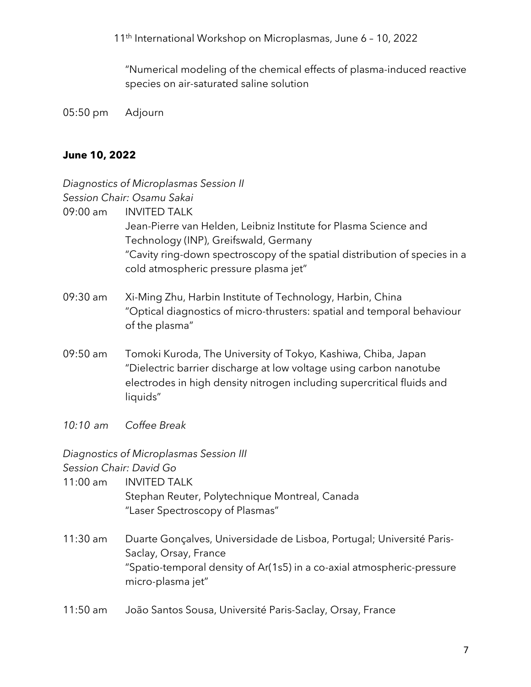"Numerical modeling of the chemical effects of plasma-induced reactive species on air-saturated saline solution

05:50 pm Adjourn

#### **June 10, 2022**

# *Diagnostics of Microplasmas Session II Session Chair: Osamu Sakai* 09:00 am INVITED TALK Jean-Pierre van Helden, Leibniz Institute for Plasma Science and Technology (INP), Greifswald, Germany "Cavity ring-down spectroscopy of the spatial distribution of species in a cold atmospheric pressure plasma jet" 09:30 am Xi-Ming Zhu, Harbin Institute of Technology, Harbin, China "Optical diagnostics of micro-thrusters: spatial and temporal behaviour of the plasma" 09:50 am Tomoki Kuroda, The University of Tokyo, Kashiwa, Chiba, Japan "Dielectric barrier discharge at low voltage using carbon nanotube electrodes in high density nitrogen including supercritical fluids and liquids"

*10:10 am Coffee Break*

*Diagnostics of Microplasmas Session III Session Chair: David Go*

- 11:00 am INVITED TALK Stephan Reuter, Polytechnique Montreal, Canada "Laser Spectroscopy of Plasmas"
- 11:30 am Duarte Gonçalves, Universidade de Lisboa, Portugal; Université Paris-Saclay, Orsay, France "Spatio-temporal density of Ar(1s5) in a co-axial atmospheric-pressure micro-plasma jet"
- 11:50 am João Santos Sousa, Université Paris-Saclay, Orsay, France